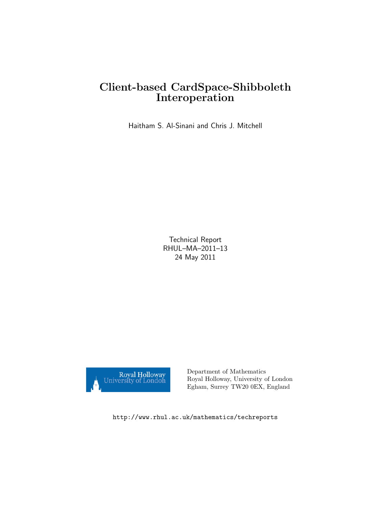# Client-based CardSpace-Shibboleth Interoperation

Haitham S. Al-Sinani and Chris J. Mitchell

Technical Report RHUL–MA–2011–13 24 May 2011



Department of Mathematics Royal Holloway, University of London Egham, Surrey TW20 0EX, England

http://www.rhul.ac.uk/mathematics/techreports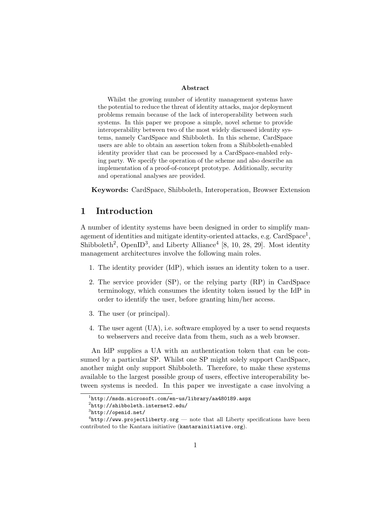#### Abstract

Whilst the growing number of identity management systems have the potential to reduce the threat of identity attacks, major deployment problems remain because of the lack of interoperability between such systems. In this paper we propose a simple, novel scheme to provide interoperability between two of the most widely discussed identity systems, namely CardSpace and Shibboleth. In this scheme, CardSpace users are able to obtain an assertion token from a Shibboleth-enabled identity provider that can be processed by a CardSpace-enabled relying party. We specify the operation of the scheme and also describe an implementation of a proof-of-concept prototype. Additionally, security and operational analyses are provided.

Keywords: CardSpace, Shibboleth, Interoperation, Browser Extension

## 1 Introduction

A number of identity systems have been designed in order to simplify management of identities and mitigate identity-oriented attacks, e.g.  $CardSpace<sup>1</sup>$ , Shibboleth<sup>2</sup>, OpenID<sup>3</sup>, and Liberty Alliance<sup>4</sup> [8, 10, 28, 29]. Most identity management architectures involve the following main roles.

- 1. The identity provider (IdP), which issues an identity token to a user.
- 2. The service provider (SP), or the relying party (RP) in CardSpace terminology, which consumes the identity token issued by the IdP in order to identify the user, before granting him/her access.
- 3. The user (or principal).
- 4. The user agent (UA), i.e. software employed by a user to send requests to webservers and receive data from them, such as a web browser.

An IdP supplies a UA with an authentication token that can be consumed by a particular SP. Whilst one SP might solely support CardSpace, another might only support Shibboleth. Therefore, to make these systems available to the largest possible group of users, effective interoperability between systems is needed. In this paper we investigate a case involving a

 $^1$ http://msdn.microsoft.com/en-us/library/aa480189.aspx

 $^{2}$ http://shibboleth.internet2.edu/

 ${}^{3}$ http://openid.net/

 ${}^{4}$ http://www.projectliberty.org — note that all Liberty specifications have been contributed to the Kantara initiative (kantarainitiative.org).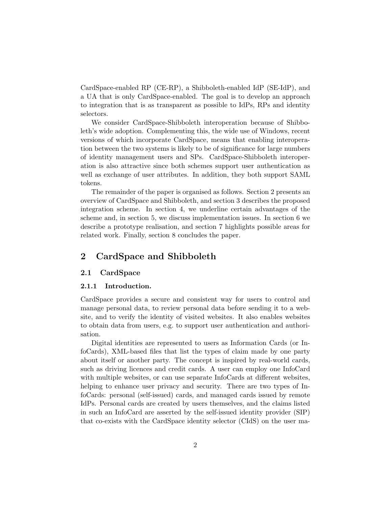CardSpace-enabled RP (CE-RP), a Shibboleth-enabled IdP (SE-IdP), and a UA that is only CardSpace-enabled. The goal is to develop an approach to integration that is as transparent as possible to IdPs, RPs and identity selectors.

We consider CardSpace-Shibboleth interoperation because of Shibboleth's wide adoption. Complementing this, the wide use of Windows, recent versions of which incorporate CardSpace, means that enabling interoperation between the two systems is likely to be of significance for large numbers of identity management users and SPs. CardSpace-Shibboleth interoperation is also attractive since both schemes support user authentication as well as exchange of user attributes. In addition, they both support SAML tokens.

The remainder of the paper is organised as follows. Section 2 presents an overview of CardSpace and Shibboleth, and section 3 describes the proposed integration scheme. In section 4, we underline certain advantages of the scheme and, in section 5, we discuss implementation issues. In section 6 we describe a prototype realisation, and section 7 highlights possible areas for related work. Finally, section 8 concludes the paper.

## 2 CardSpace and Shibboleth

### 2.1 CardSpace

### 2.1.1 Introduction.

CardSpace provides a secure and consistent way for users to control and manage personal data, to review personal data before sending it to a website, and to verify the identity of visited websites. It also enables websites to obtain data from users, e.g. to support user authentication and authorisation.

Digital identities are represented to users as Information Cards (or InfoCards), XML-based files that list the types of claim made by one party about itself or another party. The concept is inspired by real-world cards, such as driving licences and credit cards. A user can employ one InfoCard with multiple websites, or can use separate InfoCards at different websites, helping to enhance user privacy and security. There are two types of InfoCards: personal (self-issued) cards, and managed cards issued by remote IdPs. Personal cards are created by users themselves, and the claims listed in such an InfoCard are asserted by the self-issued identity provider (SIP) that co-exists with the CardSpace identity selector (CIdS) on the user ma-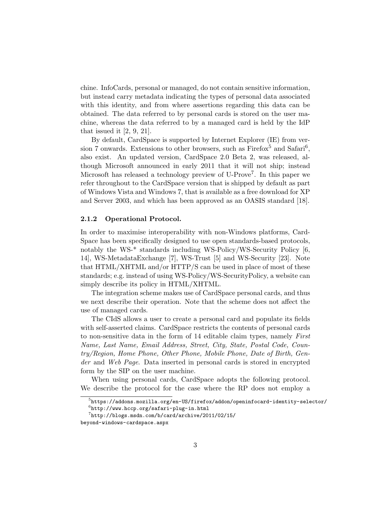chine. InfoCards, personal or managed, do not contain sensitive information, but instead carry metadata indicating the types of personal data associated with this identity, and from where assertions regarding this data can be obtained. The data referred to by personal cards is stored on the user machine, whereas the data referred to by a managed card is held by the IdP that issued it  $[2, 9, 21]$ .

By default, CardSpace is supported by Internet Explorer (IE) from version 7 onwards. Extensions to other browsers, such as  $Firefox<sup>5</sup>$  and  $Safari<sup>6</sup>$ , also exist. An updated version, CardSpace 2.0 Beta 2, was released, although Microsoft announced in early 2011 that it will not ship; instead Microsoft has released a technology preview of U-Prove<sup>7</sup>. In this paper we refer throughout to the CardSpace version that is shipped by default as part of Windows Vista and Windows 7, that is available as a free download for XP and Server 2003, and which has been approved as an OASIS standard [18].

#### 2.1.2 Operational Protocol.

In order to maximise interoperability with non-Windows platforms, Card-Space has been specifically designed to use open standards-based protocols, notably the WS-\* standards including WS-Policy/WS-Security Policy [6, 14], WS-MetadataExchange [7], WS-Trust [5] and WS-Security [23]. Note that HTML/XHTML and/or HTTP/S can be used in place of most of these standards; e.g. instead of using WS-Policy/WS-SecurityPolicy, a website can simply describe its policy in HTML/XHTML.

The integration scheme makes use of CardSpace personal cards, and thus we next describe their operation. Note that the scheme does not affect the use of managed cards.

The CIdS allows a user to create a personal card and populate its fields with self-asserted claims. CardSpace restricts the contents of personal cards to non-sensitive data in the form of 14 editable claim types, namely First Name, Last Name, Email Address, Street, City, State, Postal Code, Country/Region, Home Phone, Other Phone, Mobile Phone, Date of Birth, Gender and Web Page. Data inserted in personal cards is stored in encrypted form by the SIP on the user machine.

When using personal cards, CardSpace adopts the following protocol. We describe the protocol for the case where the RP does not employ a

 $^5$ https://addons.mozilla.org/en-US/firefox/addon/openinfocard-identity-selector/

 $^6$ http://www.hccp.org/safari-plug-in.html

 $7$ http://blogs.msdn.com/b/card/archive/2011/02/15/

beyond-windows-cardspace.aspx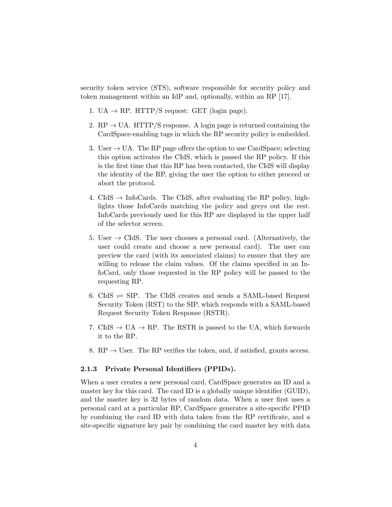security token service (STS), software responsible for security policy and token management within an IdP and, optionally, within an RP [17].

- 1. UA  $\rightarrow$  RP. HTTP/S request: GET (login page).
- 2.  $RP \rightarrow UA$ . HTTP/S response. A login page is returned containing the CardSpace-enabling tags in which the RP security policy is embedded.
- 3. User  $\rightarrow$  UA. The RP page offers the option to use CardSpace; selecting this option activates the CIdS, which is passed the RP policy. If this is the first time that this RP has been contacted, the CIdS will display the identity of the RP, giving the user the option to either proceed or abort the protocol.
- 4. CIdS  $\rightarrow$  InfoCards. The CIdS, after evaluating the RP policy, highlights those InfoCards matching the policy and greys out the rest. InfoCards previously used for this RP are displayed in the upper half of the selector screen.
- 5. User  $\rightarrow$  CIdS. The user chooses a personal card. (Alternatively, the user could create and choose a new personal card). The user can preview the card (with its associated claims) to ensure that they are willing to release the claim values. Of the claims specified in an InfoCard, only those requested in the RP policy will be passed to the requesting RP.
- 6. CIdS  $\rightleftharpoons$  SIP. The CIdS creates and sends a SAML-based Request Security Token (RST) to the SIP, which responds with a SAML-based Request Security Token Response (RSTR).
- 7. CIdS  $\rightarrow$  UA  $\rightarrow$  RP. The RSTR is passed to the UA, which forwards it to the RP.
- 8. RP  $\rightarrow$  User. The RP verifies the token, and, if satisfied, grants access.

### 2.1.3 Private Personal Identifiers (PPIDs).

When a user creates a new personal card, CardSpace generates an ID and a master key for this card. The card ID is a globally unique identifier (GUID), and the master key is 32 bytes of random data. When a user first uses a personal card at a particular RP, CardSpace generates a site-specific PPID by combining the card ID with data taken from the RP certificate, and a site-specific signature key pair by combining the card master key with data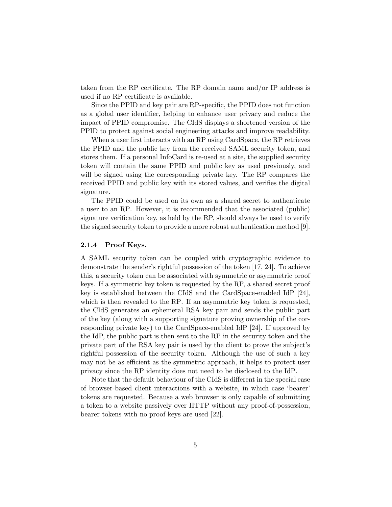taken from the RP certificate. The RP domain name and/or IP address is used if no RP certificate is available.

Since the PPID and key pair are RP-specific, the PPID does not function as a global user identifier, helping to enhance user privacy and reduce the impact of PPID compromise. The CIdS displays a shortened version of the PPID to protect against social engineering attacks and improve readability.

When a user first interacts with an RP using CardSpace, the RP retrieves the PPID and the public key from the received SAML security token, and stores them. If a personal InfoCard is re-used at a site, the supplied security token will contain the same PPID and public key as used previously, and will be signed using the corresponding private key. The RP compares the received PPID and public key with its stored values, and verifies the digital signature.

The PPID could be used on its own as a shared secret to authenticate a user to an RP. However, it is recommended that the associated (public) signature verification key, as held by the RP, should always be used to verify the signed security token to provide a more robust authentication method [9].

#### 2.1.4 Proof Keys.

A SAML security token can be coupled with cryptographic evidence to demonstrate the sender's rightful possession of the token [17, 24]. To achieve this, a security token can be associated with symmetric or asymmetric proof keys. If a symmetric key token is requested by the RP, a shared secret proof key is established between the CIdS and the CardSpace-enabled IdP [24], which is then revealed to the RP. If an asymmetric key token is requested, the CIdS generates an ephemeral RSA key pair and sends the public part of the key (along with a supporting signature proving ownership of the corresponding private key) to the CardSpace-enabled IdP [24]. If approved by the IdP, the public part is then sent to the RP in the security token and the private part of the RSA key pair is used by the client to prove the subject's rightful possession of the security token. Although the use of such a key may not be as efficient as the symmetric approach, it helps to protect user privacy since the RP identity does not need to be disclosed to the IdP.

Note that the default behaviour of the CIdS is different in the special case of browser-based client interactions with a website, in which case 'bearer' tokens are requested. Because a web browser is only capable of submitting a token to a website passively over HTTP without any proof-of-possession, bearer tokens with no proof keys are used [22].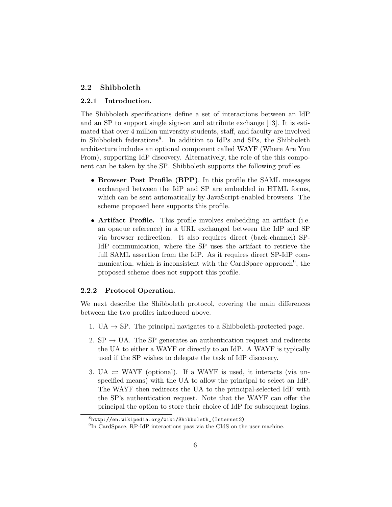### 2.2 Shibboleth

### 2.2.1 Introduction.

The Shibboleth specifications define a set of interactions between an IdP and an SP to support single sign-on and attribute exchange [13]. It is estimated that over 4 million university students, staff, and faculty are involved in Shibboleth federations<sup>8</sup>. In addition to IdPs and SPs, the Shibboleth architecture includes an optional component called WAYF (Where Are You From), supporting IdP discovery. Alternatively, the role of the this component can be taken by the SP. Shibboleth supports the following profiles.

- Browser Post Profile (BPP). In this profile the SAML messages exchanged between the IdP and SP are embedded in HTML forms, which can be sent automatically by JavaScript-enabled browsers. The scheme proposed here supports this profile.
- Artifact Profile. This profile involves embedding an artifact (i.e. an opaque reference) in a URL exchanged between the IdP and SP via browser redirection. It also requires direct (back-channel) SP-IdP communication, where the SP uses the artifact to retrieve the full SAML assertion from the IdP. As it requires direct SP-IdP communication, which is inconsistent with the CardSpace approach<sup>9</sup>, the proposed scheme does not support this profile.

### 2.2.2 Protocol Operation.

We next describe the Shibboleth protocol, covering the main differences between the two profiles introduced above.

- 1. UA  $\rightarrow$  SP. The principal navigates to a Shibboleth-protected page.
- 2.  $SP \rightarrow UA$ . The SP generates an authentication request and redirects the UA to either a WAYF or directly to an IdP. A WAYF is typically used if the SP wishes to delegate the task of IdP discovery.
- 3. UA  $\rightleftharpoons$  WAYF (optional). If a WAYF is used, it interacts (via unspecified means) with the UA to allow the principal to select an IdP. The WAYF then redirects the UA to the principal-selected IdP with the SP's authentication request. Note that the WAYF can offer the principal the option to store their choice of IdP for subsequent logins.

 ${}^{8}$ http://en.wikipedia.org/wiki/Shibboleth\_(Internet2)

<sup>&</sup>lt;sup>9</sup>In CardSpace, RP-IdP interactions pass via the CIdS on the user machine.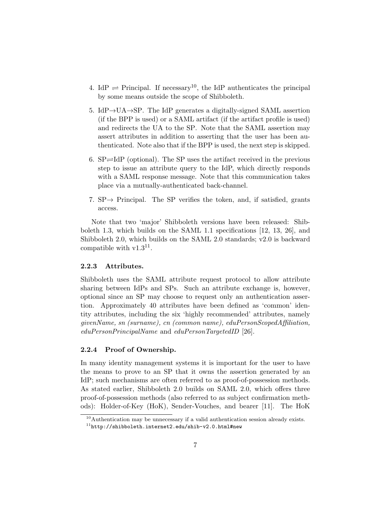- 4. IdP  $\rightleftharpoons$  Principal. If necessary<sup>10</sup>, the IdP authenticates the principal by some means outside the scope of Shibboleth.
- 5. IdP $\rightarrow$ UA $\rightarrow$ SP. The IdP generates a digitally-signed SAML assertion (if the BPP is used) or a SAML artifact (if the artifact profile is used) and redirects the UA to the SP. Note that the SAML assertion may assert attributes in addition to asserting that the user has been authenticated. Note also that if the BPP is used, the next step is skipped.
- 6.  $SP \rightleftharpoons \text{IdP}$  (optional). The SP uses the artifact received in the previous step to issue an attribute query to the IdP, which directly responds with a SAML response message. Note that this communication takes place via a mutually-authenticated back-channel.
- 7.  $SP \rightarrow$  Principal. The SP verifies the token, and, if satisfied, grants access.

Note that two 'major' Shibboleth versions have been released: Shibboleth 1.3, which builds on the SAML 1.1 specifications [12, 13, 26], and Shibboleth 2.0, which builds on the SAML 2.0 standards; v2.0 is backward compatible with  $v1.3<sup>11</sup>$ .

### 2.2.3 Attributes.

Shibboleth uses the SAML attribute request protocol to allow attribute sharing between IdPs and SPs. Such an attribute exchange is, however, optional since an SP may choose to request only an authentication assertion. Approximately 40 attributes have been defined as 'common' identity attributes, including the six 'highly recommended' attributes, namely givenName, sn (surname), cn (common name), eduPersonScopedAffiliation, eduPersonPrincipalName and eduPersonTargetedID [26].

### 2.2.4 Proof of Ownership.

In many identity management systems it is important for the user to have the means to prove to an SP that it owns the assertion generated by an IdP; such mechanisms are often referred to as proof-of-possession methods. As stated earlier, Shibboleth 2.0 builds on SAML 2.0, which offers three proof-of-possession methods (also referred to as subject confirmation methods): Holder-of-Key (HoK), Sender-Vouches, and bearer [11]. The HoK

 $10$ Authentication may be unnecessary if a valid authentication session already exists.

 $11$ http://shibboleth.internet2.edu/shib-v2.0.html#new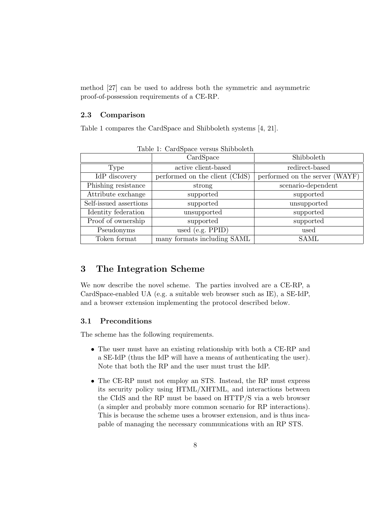method [27] can be used to address both the symmetric and asymmetric proof-of-possession requirements of a CE-RP.

### 2.3 Comparison

Table 1 compares the CardSpace and Shibboleth systems [4, 21].

|                        | CardSpace                      | Shibboleth                     |
|------------------------|--------------------------------|--------------------------------|
| Type                   | active client-based            | redirect-based                 |
| IdP discovery          | performed on the client (CIdS) | performed on the server (WAYF) |
| Phishing resistance    | strong                         | scenario-dependent             |
| Attribute exchange     | supported                      | supported                      |
| Self-issued assertions | supported                      | unsupported                    |
| Identity federation    | unsupported                    | supported                      |
| Proof of ownership     | supported                      | supported                      |
| Pseudonyms             | used (e.g. $PPID$ )            | used                           |
| Token format           | many formats including SAML    | <b>SAML</b>                    |

Table 1: CardSpace versus Shibboleth

### 3 The Integration Scheme

We now describe the novel scheme. The parties involved are a CE-RP, a CardSpace-enabled UA (e.g. a suitable web browser such as IE), a SE-IdP, and a browser extension implementing the protocol described below.

### 3.1 Preconditions

The scheme has the following requirements.

- The user must have an existing relationship with both a CE-RP and a SE-IdP (thus the IdP will have a means of authenticating the user). Note that both the RP and the user must trust the IdP.
- The CE-RP must not employ an STS. Instead, the RP must express its security policy using HTML/XHTML, and interactions between the CIdS and the RP must be based on HTTP/S via a web browser (a simpler and probably more common scenario for RP interactions). This is because the scheme uses a browser extension, and is thus incapable of managing the necessary communications with an RP STS.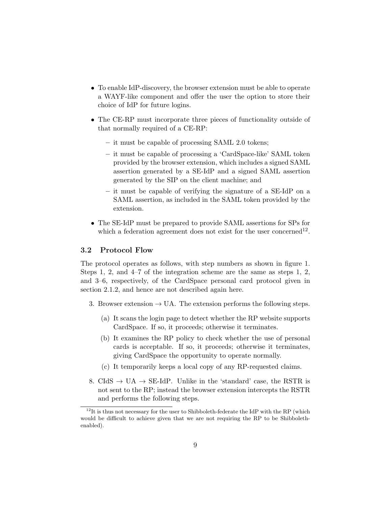- To enable IdP-discovery, the browser extension must be able to operate a WAYF-like component and offer the user the option to store their choice of IdP for future logins.
- The CE-RP must incorporate three pieces of functionality outside of that normally required of a CE-RP:
	- it must be capable of processing SAML 2.0 tokens;
	- it must be capable of processing a 'CardSpace-like' SAML token provided by the browser extension, which includes a signed SAML assertion generated by a SE-IdP and a signed SAML assertion generated by the SIP on the client machine; and
	- it must be capable of verifying the signature of a SE-IdP on a SAML assertion, as included in the SAML token provided by the extension.
- The SE-IdP must be prepared to provide SAML assertions for SPs for which a federation agreement does not exist for the user concerned<sup>12</sup>.

### 3.2 Protocol Flow

The protocol operates as follows, with step numbers as shown in figure 1. Steps 1, 2, and 4–7 of the integration scheme are the same as steps 1, 2, and 3–6, respectively, of the CardSpace personal card protocol given in section 2.1.2, and hence are not described again here.

- 3. Browser extension  $\rightarrow$  UA. The extension performs the following steps.
	- (a) It scans the login page to detect whether the RP website supports CardSpace. If so, it proceeds; otherwise it terminates.
	- (b) It examines the RP policy to check whether the use of personal cards is acceptable. If so, it proceeds; otherwise it terminates, giving CardSpace the opportunity to operate normally.
	- (c) It temporarily keeps a local copy of any RP-requested claims.
- 8. CIdS  $\rightarrow$  UA  $\rightarrow$  SE-IdP. Unlike in the 'standard' case, the RSTR is not sent to the RP; instead the browser extension intercepts the RSTR and performs the following steps.

 $^{12}{\rm It}$  is thus not necessary for the user to Shibboleth-federate the IdP with the RP (which would be difficult to achieve given that we are not requiring the RP to be Shibbolethenabled).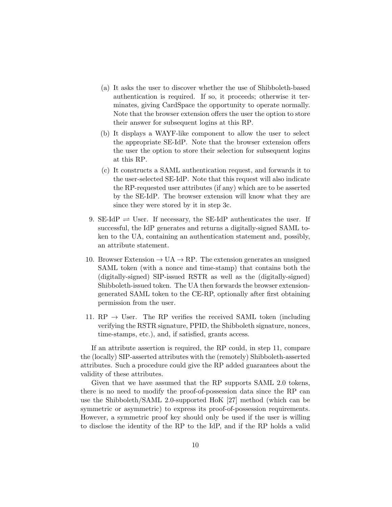- (a) It asks the user to discover whether the use of Shibboleth-based authentication is required. If so, it proceeds; otherwise it terminates, giving CardSpace the opportunity to operate normally. Note that the browser extension offers the user the option to store their answer for subsequent logins at this RP.
- (b) It displays a WAYF-like component to allow the user to select the appropriate SE-IdP. Note that the browser extension offers the user the option to store their selection for subsequent logins at this RP.
- (c) It constructs a SAML authentication request, and forwards it to the user-selected SE-IdP. Note that this request will also indicate the RP-requested user attributes (if any) which are to be asserted by the SE-IdP. The browser extension will know what they are since they were stored by it in step 3c.
- 9. SE-IdP  $\rightleftharpoons$  User. If necessary, the SE-IdP authenticates the user. If successful, the IdP generates and returns a digitally-signed SAML token to the UA, containing an authentication statement and, possibly, an attribute statement.
- 10. Browser Extension  $\rightarrow$  UA  $\rightarrow$  RP. The extension generates an unsigned SAML token (with a nonce and time-stamp) that contains both the (digitally-signed) SIP-issued RSTR as well as the (digitally-signed) Shibboleth-issued token. The UA then forwards the browser extensiongenerated SAML token to the CE-RP, optionally after first obtaining permission from the user.
- 11. RP  $\rightarrow$  User. The RP verifies the received SAML token (including verifying the RSTR signature, PPID, the Shibboleth signature, nonces, time-stamps, etc.), and, if satisfied, grants access.

If an attribute assertion is required, the RP could, in step 11, compare the (locally) SIP-asserted attributes with the (remotely) Shibboleth-asserted attributes. Such a procedure could give the RP added guarantees about the validity of these attributes.

Given that we have assumed that the RP supports SAML 2.0 tokens, there is no need to modify the proof-of-possession data since the RP can use the Shibboleth/SAML 2.0-supported HoK [27] method (which can be symmetric or asymmetric) to express its proof-of-possession requirements. However, a symmetric proof key should only be used if the user is willing to disclose the identity of the RP to the IdP, and if the RP holds a valid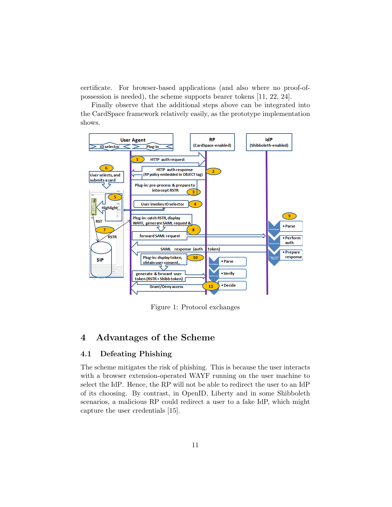certificate. For browser-based applications (and also where no proof-ofpossession is needed), the scheme supports bearer tokens [11, 22, 24].

Finally observe that the additional steps above can be integrated into the CardSpace framework relatively easily, as the prototype implementation shows.



Figure 1: Protocol exchanges

## 4 Advantages of the Scheme

### 4.1 Defeating Phishing

The scheme mitigates the risk of phishing. This is because the user interacts with a browser extension-operated WAYF running on the user machine to select the IdP. Hence, the RP will not be able to redirect the user to an IdP of its choosing. By contrast, in OpenID, Liberty and in some Shibboleth scenarios, a malicious RP could redirect a user to a fake IdP, which might capture the user credentials [15].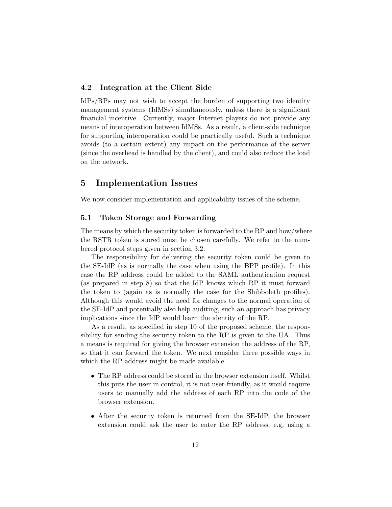### 4.2 Integration at the Client Side

IdPs/RPs may not wish to accept the burden of supporting two identity management systems (IdMSs) simultaneously, unless there is a significant financial incentive. Currently, major Internet players do not provide any means of interoperation between IdMSs. As a result, a client-side technique for supporting interoperation could be practically useful. Such a technique avoids (to a certain extent) any impact on the performance of the server (since the overhead is handled by the client), and could also reduce the load on the network.

## 5 Implementation Issues

We now consider implementation and applicability issues of the scheme.

### 5.1 Token Storage and Forwarding

The means by which the security token is forwarded to the RP and how/where the RSTR token is stored must be chosen carefully. We refer to the numbered protocol steps given in section 3.2.

The responsibility for delivering the security token could be given to the SE-IdP (as is normally the case when using the BPP profile). In this case the RP address could be added to the SAML authentication request (as prepared in step 8) so that the IdP knows which RP it must forward the token to (again as is normally the case for the Shibboleth profiles). Although this would avoid the need for changes to the normal operation of the SE-IdP and potentially also help auditing, such an approach has privacy implications since the IdP would learn the identity of the RP.

As a result, as specified in step 10 of the proposed scheme, the responsibility for sending the security token to the RP is given to the UA. Thus a means is required for giving the browser extension the address of the RP, so that it can forward the token. We next consider three possible ways in which the RP address might be made available.

- The RP address could be stored in the browser extension itself. Whilst this puts the user in control, it is not user-friendly, as it would require users to manually add the address of each RP into the code of the browser extension.
- After the security token is returned from the SE-IdP, the browser extension could ask the user to enter the RP address, e.g. using a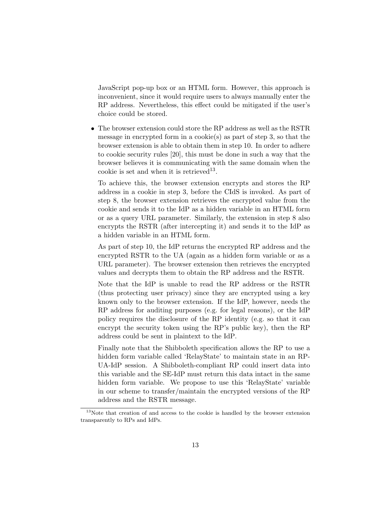JavaScript pop-up box or an HTML form. However, this approach is inconvenient, since it would require users to always manually enter the RP address. Nevertheless, this effect could be mitigated if the user's choice could be stored.

• The browser extension could store the RP address as well as the RSTR message in encrypted form in a cookie(s) as part of step 3, so that the browser extension is able to obtain them in step 10. In order to adhere to cookie security rules [20], this must be done in such a way that the browser believes it is communicating with the same domain when the cookie is set and when it is retrieved<sup>13</sup>.

To achieve this, the browser extension encrypts and stores the RP address in a cookie in step 3, before the CIdS is invoked. As part of step 8, the browser extension retrieves the encrypted value from the cookie and sends it to the IdP as a hidden variable in an HTML form or as a query URL parameter. Similarly, the extension in step 8 also encrypts the RSTR (after intercepting it) and sends it to the IdP as a hidden variable in an HTML form.

As part of step 10, the IdP returns the encrypted RP address and the encrypted RSTR to the UA (again as a hidden form variable or as a URL parameter). The browser extension then retrieves the encrypted values and decrypts them to obtain the RP address and the RSTR.

Note that the IdP is unable to read the RP address or the RSTR (thus protecting user privacy) since they are encrypted using a key known only to the browser extension. If the IdP, however, needs the RP address for auditing purposes (e.g. for legal reasons), or the IdP policy requires the disclosure of the RP identity (e.g. so that it can encrypt the security token using the RP's public key), then the RP address could be sent in plaintext to the IdP.

Finally note that the Shibboleth specification allows the RP to use a hidden form variable called 'RelayState' to maintain state in an RP-UA-IdP session. A Shibboleth-compliant RP could insert data into this variable and the SE-IdP must return this data intact in the same hidden form variable. We propose to use this 'RelayState' variable in our scheme to transfer/maintain the encrypted versions of the RP address and the RSTR message.

<sup>13</sup>Note that creation of and access to the cookie is handled by the browser extension transparently to RPs and IdPs.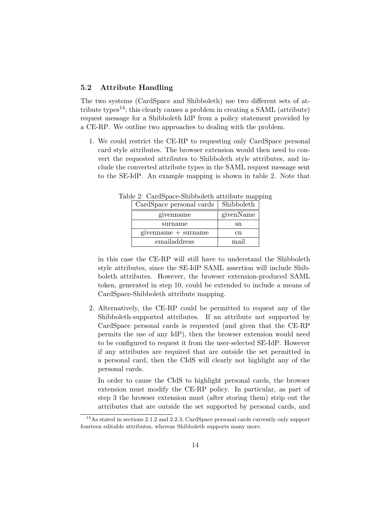### 5.2 Attribute Handling

The two systems (CardSpace and Shibboleth) use two different sets of attribute types<sup>14</sup>; this clearly causes a problem in creating a SAML (attribute) request message for a Shibboleth IdP from a policy statement provided by a CE-RP. We outline two approaches to dealing with the problem.

1. We could restrict the CE-RP to requesting only CardSpace personal card style attributes. The browser extension would then need to convert the requested attributes to Shibboleth style attributes, and include the converted attribute types in the SAML request message sent to the SE-IdP. An example mapping is shown in table 2. Note that

| CardSpace personal cards | Shibboleth |
|--------------------------|------------|
| givenname                | givenName  |
| surname                  | sn         |
| $givenname + sumame$     | сn         |
| emailaddress             | mail       |

Table 2: CardSpace-Shibboleth attribute mapping

in this case the CE-RP will still have to understand the Shibboleth style attributes, since the SE-IdP SAML assertion will include Shibboleth attributes. However, the browser extension-produced SAML token, generated in step 10, could be extended to include a means of CardSpace-Shibboleth attribute mapping.

2. Alternatively, the CE-RP could be permitted to request any of the Shibboleth-supported attributes. If an attribute not supported by CardSpace personal cards is requested (and given that the CE-RP permits the use of any IdP), then the browser extension would need to be configured to request it from the user-selected SE-IdP. However if any attributes are required that are outside the set permitted in a personal card, then the CIdS will clearly not highlight any of the personal cards.

In order to cause the CIdS to highlight personal cards, the browser extension must modify the CE-RP policy. In particular, as part of step 3 the browser extension must (after storing them) strip out the attributes that are outside the set supported by personal cards, and

<sup>&</sup>lt;sup>14</sup>As stated in sections 2.1.2 and 2.2.3, CardSpace personal cards currently only support fourteen editable attributes, whereas Shibboleth supports many more.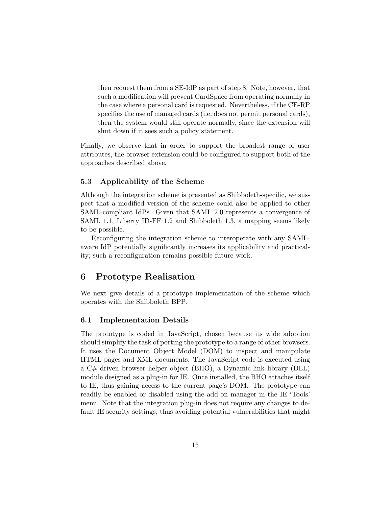then request them from a SE-IdP as part of step 8. Note, however, that such a modification will prevent CardSpace from operating normally in the case where a personal card is requested. Nevertheless, if the CE-RP specifies the use of managed cards (i.e. does not permit personal cards), then the system would still operate normally, since the extension will shut down if it sees such a policy statement.

Finally, we observe that in order to support the broadest range of user attributes, the browser extension could be configured to support both of the approaches described above.

### 5.3 Applicability of the Scheme

Although the integration scheme is presented as Shibboleth-specific, we suspect that a modified version of the scheme could also be applied to other SAML-compliant IdPs. Given that SAML 2.0 represents a convergence of SAML 1.1, Liberty ID-FF 1.2 and Shibboleth 1.3, a mapping seems likely to be possible.

Reconfiguring the integration scheme to interoperate with any SAMLaware IdP potentially significantly increases its applicability and practicality; such a reconfiguration remains possible future work.

## 6 Prototype Realisation

We next give details of a prototype implementation of the scheme which operates with the Shibboleth BPP.

### 6.1 Implementation Details

The prototype is coded in JavaScript, chosen because its wide adoption should simplify the task of porting the prototype to a range of other browsers. It uses the Document Object Model (DOM) to inspect and manipulate HTML pages and XML documents. The JavaScript code is executed using a C#-driven browser helper object (BHO), a Dynamic-link library (DLL) module designed as a plug-in for IE. Once installed, the BHO attaches itself to IE, thus gaining access to the current page's DOM. The prototype can readily be enabled or disabled using the add-on manager in the IE 'Tools' menu. Note that the integration plug-in does not require any changes to default IE security settings, thus avoiding potential vulnerabilities that might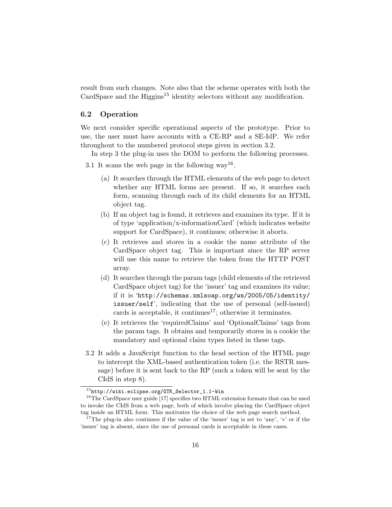result from such changes. Note also that the scheme operates with both the CardSpace and the  $\text{Higgs}^{15}$  identity selectors without any modification.

### 6.2 Operation

We next consider specific operational aspects of the prototype. Prior to use, the user must have accounts with a CE-RP and a SE-IdP. We refer throughout to the numbered protocol steps given in section 3.2.

In step 3 the plug-in uses the DOM to perform the following processes.

- 3.1 It scans the web page in the following way<sup>16</sup>.
	- (a) It searches through the HTML elements of the web page to detect whether any HTML forms are present. If so, it searches each form, scanning through each of its child elements for an HTML object tag.
	- (b) If an object tag is found, it retrieves and examines its type. If it is of type 'application/x-informationCard' (which indicates website support for CardSpace), it continues; otherwise it aborts.
	- (c) It retrieves and stores in a cookie the name attribute of the CardSpace object tag. This is important since the RP server will use this name to retrieve the token from the HTTP POST array.
	- (d) It searches through the param tags (child elements of the retrieved CardSpace object tag) for the 'issuer' tag and examines its value; if it is 'http://schemas.xmlsoap.org/ws/2005/05/identity/ issuer/self', indicating that the use of personal (self-issued) cards is acceptable, it continues<sup>17</sup>; otherwise it terminates.
	- (e) It retrieves the 'requiredClaims' and 'OptionalClaims' tags from the param tags. It obtains and temporarily stores in a cookie the mandatory and optional claim types listed in these tags.
- 3.2 It adds a JavaScript function to the head section of the HTML page to intercept the XML-based authentication token (i.e. the RSTR message) before it is sent back to the RP (such a token will be sent by the CIdS in step 8).

<sup>15</sup>http://wiki.eclipse.org/GTK\_Selector\_1.1-Win

<sup>&</sup>lt;sup>16</sup>The CardSpace user guide [17] specifies two HTML extension formats that can be used to invoke the CIdS from a web page, both of which involve placing the CardSpace object tag inside an HTML form. This motivates the choice of the web page search method.

<sup>&</sup>lt;sup>17</sup>The plug-in also continues if the value of the 'issuer' tag is set to 'any', '\*' or if the 'issuer' tag is absent, since the use of personal cards is acceptable in these cases.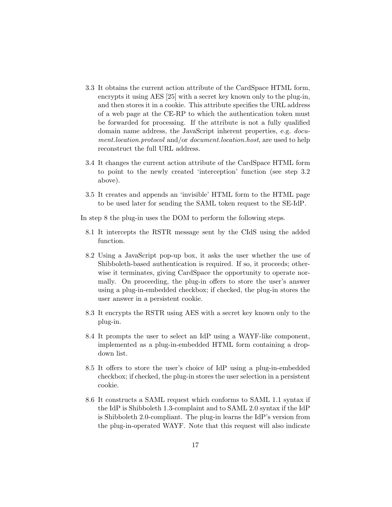- 3.3 It obtains the current action attribute of the CardSpace HTML form, encrypts it using AES [25] with a secret key known only to the plug-in, and then stores it in a cookie. This attribute specifies the URL address of a web page at the CE-RP to which the authentication token must be forwarded for processing. If the attribute is not a fully qualified domain name address, the JavaScript inherent properties, e.g. document.location.protocol and/or document.location.host, are used to help reconstruct the full URL address.
- 3.4 It changes the current action attribute of the CardSpace HTML form to point to the newly created 'interception' function (see step 3.2 above).
- 3.5 It creates and appends an 'invisible' HTML form to the HTML page to be used later for sending the SAML token request to the SE-IdP.

In step 8 the plug-in uses the DOM to perform the following steps.

- 8.1 It intercepts the RSTR message sent by the CIdS using the added function.
- 8.2 Using a JavaScript pop-up box, it asks the user whether the use of Shibboleth-based authentication is required. If so, it proceeds; otherwise it terminates, giving CardSpace the opportunity to operate normally. On proceeding, the plug-in offers to store the user's answer using a plug-in-embedded checkbox; if checked, the plug-in stores the user answer in a persistent cookie.
- 8.3 It encrypts the RSTR using AES with a secret key known only to the plug-in.
- 8.4 It prompts the user to select an IdP using a WAYF-like component, implemented as a plug-in-embedded HTML form containing a dropdown list.
- 8.5 It offers to store the user's choice of IdP using a plug-in-embedded checkbox; if checked, the plug-in stores the user selection in a persistent cookie.
- 8.6 It constructs a SAML request which conforms to SAML 1.1 syntax if the IdP is Shibboleth 1.3-complaint and to SAML 2.0 syntax if the IdP is Shibboleth 2.0-compliant. The plug-in learns the IdP's version from the plug-in-operated WAYF. Note that this request will also indicate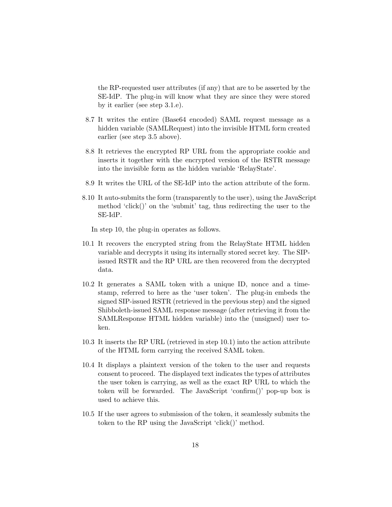the RP-requested user attributes (if any) that are to be asserted by the SE-IdP. The plug-in will know what they are since they were stored by it earlier (see step 3.1.e).

- 8.7 It writes the entire (Base64 encoded) SAML request message as a hidden variable (SAMLRequest) into the invisible HTML form created earlier (see step 3.5 above).
- 8.8 It retrieves the encrypted RP URL from the appropriate cookie and inserts it together with the encrypted version of the RSTR message into the invisible form as the hidden variable 'RelayState'.
- 8.9 It writes the URL of the SE-IdP into the action attribute of the form.
- 8.10 It auto-submits the form (transparently to the user), using the JavaScript method 'click()' on the 'submit' tag, thus redirecting the user to the SE-IdP.

In step 10, the plug-in operates as follows.

- 10.1 It recovers the encrypted string from the RelayState HTML hidden variable and decrypts it using its internally stored secret key. The SIPissued RSTR and the RP URL are then recovered from the decrypted data.
- 10.2 It generates a SAML token with a unique ID, nonce and a timestamp, referred to here as the 'user token'. The plug-in embeds the signed SIP-issued RSTR (retrieved in the previous step) and the signed Shibboleth-issued SAML response message (after retrieving it from the SAMLResponse HTML hidden variable) into the (unsigned) user token.
- 10.3 It inserts the RP URL (retrieved in step 10.1) into the action attribute of the HTML form carrying the received SAML token.
- 10.4 It displays a plaintext version of the token to the user and requests consent to proceed. The displayed text indicates the types of attributes the user token is carrying, as well as the exact RP URL to which the token will be forwarded. The JavaScript 'confirm()' pop-up box is used to achieve this.
- 10.5 If the user agrees to submission of the token, it seamlessly submits the token to the RP using the JavaScript 'click()' method.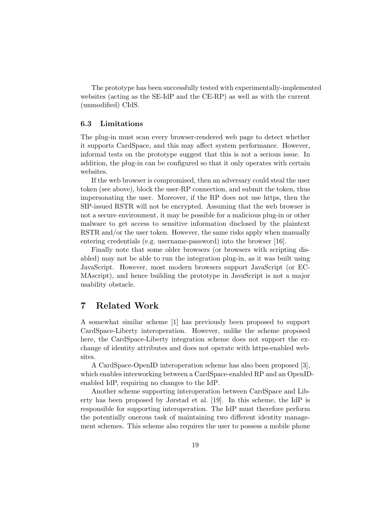The prototype has been successfully tested with experimentally-implemented websites (acting as the SE-IdP and the CE-RP) as well as with the current (unmodified) CIdS.

### 6.3 Limitations

The plug-in must scan every browser-rendered web page to detect whether it supports CardSpace, and this may affect system performance. However, informal tests on the prototype suggest that this is not a serious issue. In addition, the plug-in can be configured so that it only operates with certain websites.

If the web browser is compromised, then an adversary could steal the user token (see above), block the user-RP connection, and submit the token, thus impersonating the user. Moreover, if the RP does not use https, then the SIP-issued RSTR will not be encrypted. Assuming that the web browser is not a secure environment, it may be possible for a malicious plug-in or other malware to get access to sensitive information disclosed by the plaintext RSTR and/or the user token. However, the same risks apply when manually entering credentials (e.g. username-password) into the browser [16].

Finally note that some older browsers (or browsers with scripting disabled) may not be able to run the integration plug-in, as it was built using JavaScript. However, most modern browsers support JavaScript (or EC-MAscript), and hence building the prototype in JavaScript is not a major usability obstacle.

## 7 Related Work

A somewhat similar scheme [1] has previously been proposed to support CardSpace-Liberty interoperation. However, unlike the scheme proposed here, the CardSpace-Liberty integration scheme does not support the exchange of identity attributes and does not operate with https-enabled websites.

A CardSpace-OpenID interoperation scheme has also been proposed [3], which enables interworking between a CardSpace-enabled RP and an OpenIDenabled IdP, requiring no changes to the IdP.

Another scheme supporting interoperation between CardSpace and Liberty has been proposed by Jørstad et al. [19]. In this scheme, the IdP is responsible for supporting interoperation. The IdP must therefore perform the potentially onerous task of maintaining two different identity management schemes. This scheme also requires the user to possess a mobile phone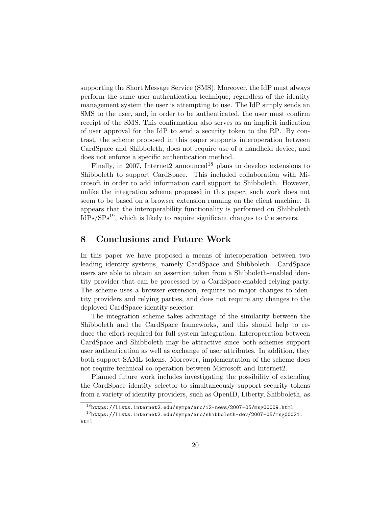supporting the Short Message Service (SMS). Moreover, the IdP must always perform the same user authentication technique, regardless of the identity management system the user is attempting to use. The IdP simply sends an SMS to the user, and, in order to be authenticated, the user must confirm receipt of the SMS. This confirmation also serves as an implicit indication of user approval for the IdP to send a security token to the RP. By contrast, the scheme proposed in this paper supports interoperation between CardSpace and Shibboleth, does not require use of a handheld device, and does not enforce a specific authentication method.

Finally, in 2007, Internet2 announced<sup>18</sup> plans to develop extensions to Shibboleth to support CardSpace. This included collaboration with Microsoft in order to add information card support to Shibboleth. However, unlike the integration scheme proposed in this paper, such work does not seem to be based on a browser extension running on the client machine. It appears that the interoperability functionality is performed on Shibboleth IdPs/SPs19, which is likely to require significant changes to the servers.

## 8 Conclusions and Future Work

In this paper we have proposed a means of interoperation between two leading identity systems, namely CardSpace and Shibboleth. CardSpace users are able to obtain an assertion token from a Shibboleth-enabled identity provider that can be processed by a CardSpace-enabled relying party. The scheme uses a browser extension, requires no major changes to identity providers and relying parties, and does not require any changes to the deployed CardSpace identity selector.

The integration scheme takes advantage of the similarity between the Shibboleth and the CardSpace frameworks, and this should help to reduce the effort required for full system integration. Interoperation between CardSpace and Shibboleth may be attractive since both schemes support user authentication as well as exchange of user attributes. In addition, they both support SAML tokens. Moreover, implementation of the scheme does not require technical co-operation between Microsoft and Internet2.

Planned future work includes investigating the possibility of extending the CardSpace identity selector to simultaneously support security tokens from a variety of identity providers, such as OpenID, Liberty, Shibboleth, as

 $18$ https://lists.internet2.edu/sympa/arc/i2-news/2007-05/msg00009.html

 $19$ https://lists.internet2.edu/sympa/arc/shibboleth-dev/2007-05/msg00021. html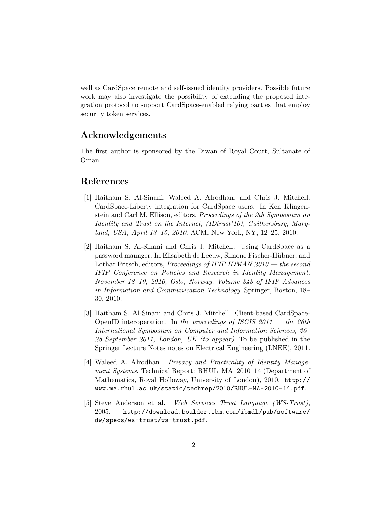well as CardSpace remote and self-issued identity providers. Possible future work may also investigate the possibility of extending the proposed integration protocol to support CardSpace-enabled relying parties that employ security token services.

## Acknowledgements

The first author is sponsored by the Diwan of Royal Court, Sultanate of Oman.

## References

- [1] Haitham S. Al-Sinani, Waleed A. Alrodhan, and Chris J. Mitchell. CardSpace-Liberty integration for CardSpace users. In Ken Klingenstein and Carl M. Ellison, editors, Proceedings of the 9th Symposium on Identity and Trust on the Internet, (IDtrust'10), Gaithersburg, Maryland, USA, April 13–15, 2010. ACM, New York, NY, 12–25, 2010.
- [2] Haitham S. Al-Sinani and Chris J. Mitchell. Using CardSpace as a password manager. In Elisabeth de Leeuw, Simone Fischer-Hübner, and Lothar Fritsch, editors, Proceedings of IFIP IDMAN  $2010$  — the second IFIP Conference on Policies and Research in Identity Management, November 18–19, 2010, Oslo, Norway. Volume 343 of IFIP Advances in Information and Communication Technology. Springer, Boston, 18– 30, 2010.
- [3] Haitham S. Al-Sinani and Chris J. Mitchell. Client-based CardSpace-OpenID interoperation. In the proceedings of ISCIS  $2011$  – the  $26th$ International Symposium on Computer and Information Sciences, 26– 28 September 2011, London, UK (to appear). To be published in the Springer Lecture Notes notes on Electrical Engineering (LNEE), 2011.
- [4] Waleed A. Alrodhan. Privacy and Practicality of Identity Management Systems. Technical Report: RHUL–MA–2010–14 (Department of Mathematics, Royal Holloway, University of London), 2010. http:// www.ma.rhul.ac.uk/static/techrep/2010/RHUL-MA-2010-14.pdf.
- [5] Steve Anderson et al. Web Services Trust Language (WS-Trust), 2005. http://download.boulder.ibm.com/ibmdl/pub/software/ dw/specs/ws-trust/ws-trust.pdf.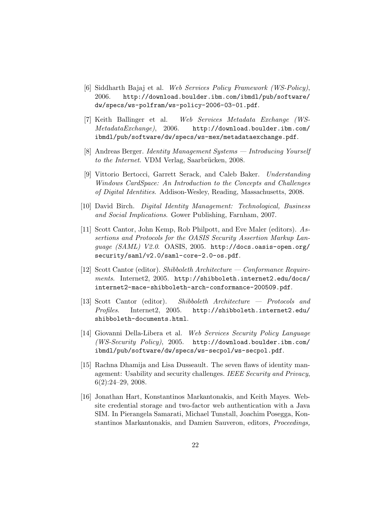- [6] Siddharth Bajaj et al. Web Services Policy Framework (WS-Policy), 2006. http://download.boulder.ibm.com/ibmdl/pub/software/ dw/specs/ws-polfram/ws-policy-2006-03-01.pdf.
- [7] Keith Ballinger et al. Web Services Metadata Exchange (WS-MetadataExchange), 2006. http://download.boulder.ibm.com/ ibmdl/pub/software/dw/specs/ws-mex/metadataexchange.pdf.
- [8] Andreas Berger. Identity Management Systems Introducing Yourself to the Internet. VDM Verlag, Saarbrücken, 2008.
- [9] Vittorio Bertocci, Garrett Serack, and Caleb Baker. Understanding Windows CardSpace: An Introduction to the Concepts and Challenges of Digital Identities. Addison-Wesley, Reading, Massachusetts, 2008.
- [10] David Birch. Digital Identity Management: Technological, Business and Social Implications. Gower Publishing, Farnham, 2007.
- [11] Scott Cantor, John Kemp, Rob Philpott, and Eve Maler (editors). Assertions and Protocols for the OASIS Security Assertion Markup Language (SAML) V2.0. OASIS, 2005. http://docs.oasis-open.org/ security/saml/v2.0/saml-core-2.0-os.pdf.
- [12] Scott Cantor (editor). Shibboleth Architecture Conformance Requirements. Internet2, 2005. http://shibboleth.internet2.edu/docs/ internet2-mace-shibboleth-arch-conformance-200509.pdf.
- [13] Scott Cantor (editor). Shibboleth Architecture Protocols and Profiles. Internet2, 2005. http://shibboleth.internet2.edu/ shibboleth-documents.html.
- [14] Giovanni Della-Libera et al. Web Services Security Policy Language (WS-Security Policy), 2005. http://download.boulder.ibm.com/ ibmdl/pub/software/dw/specs/ws-secpol/ws-secpol.pdf.
- [15] Rachna Dhamija and Lisa Dusseault. The seven flaws of identity management: Usability and security challenges. IEEE Security and Privacy, 6(2):24–29, 2008.
- [16] Jonathan Hart, Konstantinos Markantonakis, and Keith Mayes. Website credential storage and two-factor web authentication with a Java SIM. In Pierangela Samarati, Michael Tunstall, Joachim Posegga, Konstantinos Markantonakis, and Damien Sauveron, editors, Proceedings,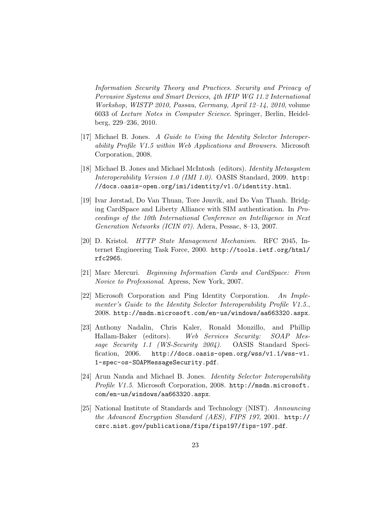Information Security Theory and Practices. Security and Privacy of Pervasive Systems and Smart Devices, 4th IFIP WG 11.2 International Workshop, WISTP 2010, Passau, Germany, April 12–14, 2010, volume 6033 of Lecture Notes in Computer Science. Springer, Berlin, Heidelberg, 229–236, 2010.

- [17] Michael B. Jones. A Guide to Using the Identity Selector Interoperability Profile V1.5 within Web Applications and Browsers. Microsoft Corporation, 2008.
- [18] Michael B. Jones and Michael McIntosh (editors). Identity Metasystem Interoperability Version 1.0 (IMI 1.0). OASIS Standard, 2009. http: //docs.oasis-open.org/imi/identity/v1.0/identity.html.
- [19] Ivar Jørstad, Do Van Thuan, Tore Jønvik, and Do Van Thanh. Bridging CardSpace and Liberty Alliance with SIM authentication. In Proceedings of the 10th International Conference on Intelligence in Next Generation Networks (ICIN 07). Adera, Pessac, 8–13, 2007.
- [20] D. Kristol. HTTP State Management Mechanism. RFC 2045, Internet Engineering Task Force, 2000. http://tools.ietf.org/html/ rfc2965.
- [21] Marc Mercuri. Beginning Information Cards and CardSpace: From Novice to Professional. Apress, New York, 2007.
- [22] Microsoft Corporation and Ping Identity Corporation. An Implementer's Guide to the Identity Selector Interoperability Profile V1.5., 2008. http://msdn.microsoft.com/en-us/windows/aa663320.aspx.
- [23] Anthony Nadalin, Chris Kaler, Ronald Monzillo, and Phillip Hallam-Baker (editors). Web Services Security: SOAP Message Security 1.1 (WS-Security 2004). OASIS Standard Specification, 2006. http://docs.oasis-open.org/wss/v1.1/wss-v1. 1-spec-os-SOAPMessageSecurity.pdf.
- [24] Arun Nanda and Michael B. Jones. Identity Selector Interoperability Profile V1.5. Microsoft Corporation, 2008. http://msdn.microsoft. com/en-us/windows/aa663320.aspx.
- [25] National Institute of Standards and Technology (NIST). Announcing the Advanced Encryption Standard (AES), FIPS 197, 2001. http:// csrc.nist.gov/publications/fips/fips197/fips-197.pdf.